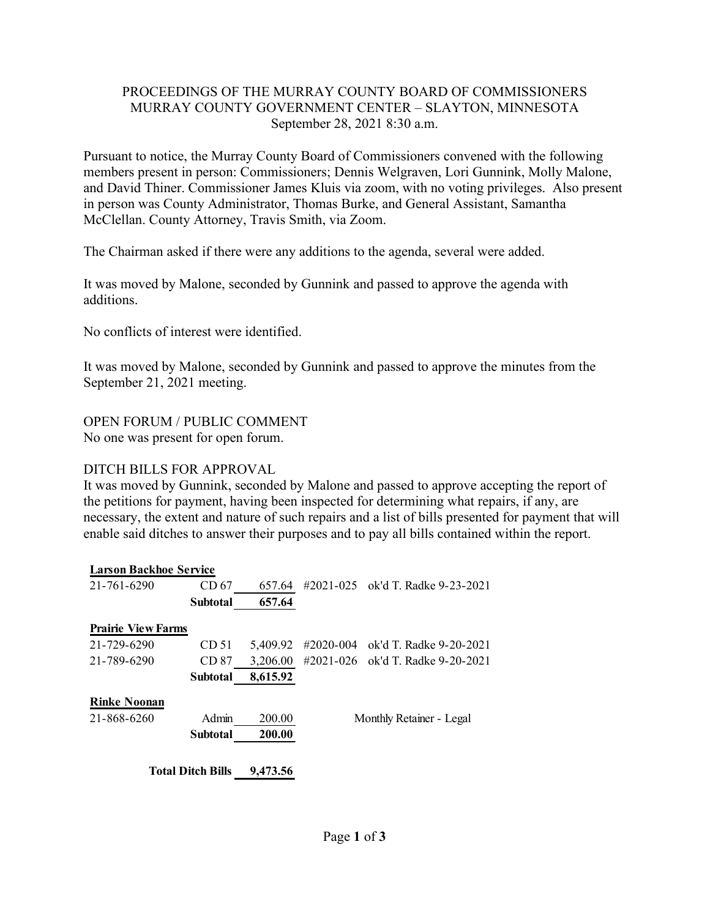### PROCEEDINGS OF THE MURRAY COUNTY BOARD OF COMMISSIONERS MURRAY COUNTY GOVERNMENT CENTER – SLAYTON, MINNESOTA September 28, 2021 8:30 a.m.

Pursuant to notice, the Murray County Board of Commissioners convened with the following members present in person: Commissioners; Dennis Welgraven, Lori Gunnink, Molly Malone, and David Thiner. Commissioner James Kluis via zoom, with no voting privileges. Also present in person was County Administrator, Thomas Burke, and General Assistant, Samantha McClellan. County Attorney, Travis Smith, via Zoom.

The Chairman asked if there were any additions to the agenda, several were added.

It was moved by Malone, seconded by Gunnink and passed to approve the agenda with additions.

No conflicts of interest were identified.

It was moved by Malone, seconded by Gunnink and passed to approve the minutes from the September 21, 2021 meeting.

OPEN FORUM / PUBLIC COMMENT No one was present for open forum.

### DITCH BILLS FOR APPROVAL

It was moved by Gunnink, seconded by Malone and passed to approve accepting the report of the petitions for payment, having been inspected for determining what repairs, if any, are necessary, the extent and nature of such repairs and a list of bills presented for payment that will enable said ditches to answer their purposes and to pay all bills contained within the report.

| <b>Larson Backhoe Service</b> |                  |          |                |                          |
|-------------------------------|------------------|----------|----------------|--------------------------|
| 21-761-6290                   | CD <sub>67</sub> | 657.64   | #2021-025      | ok'd T. Radke 9-23-2021  |
|                               | <b>Subtotal</b>  | 657.64   |                |                          |
| <b>Prairie View Farms</b>     |                  |          |                |                          |
| 21-729-6290                   | CD 51            | 5.409.92 | #2020-004      | ok'd T. Radke 9-20-2021  |
| 21-789-6290                   | CD 87            | 3,206.00 | $\#2021 - 026$ | ok'd T. Radke 9-20-2021  |
|                               | <b>Subtotal</b>  | 8,615.92 |                |                          |
| <b>Rinke Noonan</b>           |                  |          |                |                          |
| 21-868-6260                   | Admin            | 200.00   |                | Monthly Retainer - Legal |
|                               | <b>Subtotal</b>  | 200.00   |                |                          |
| <b>Total Ditch Bills</b>      |                  | 9,473.56 |                |                          |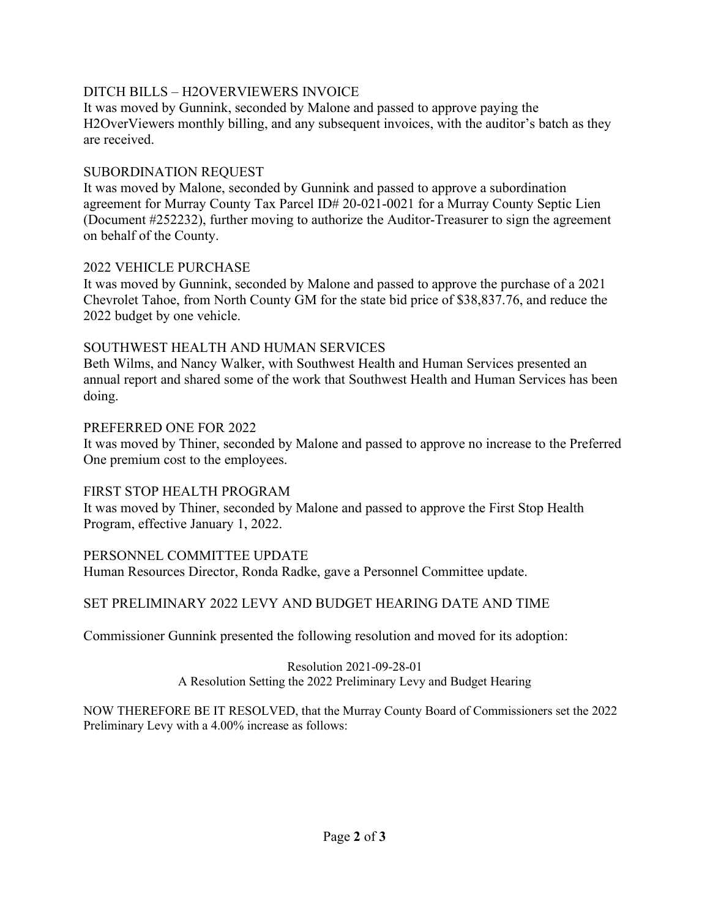## DITCH BILLS – H2OVERVIEWERS INVOICE

It was moved by Gunnink, seconded by Malone and passed to approve paying the H2OverViewers monthly billing, and any subsequent invoices, with the auditor's batch as they are received.

### SUBORDINATION REQUEST

It was moved by Malone, seconded by Gunnink and passed to approve a subordination agreement for Murray County Tax Parcel ID# 20-021-0021 for a Murray County Septic Lien (Document #252232), further moving to authorize the Auditor-Treasurer to sign the agreement on behalf of the County.

### 2022 VEHICLE PURCHASE

It was moved by Gunnink, seconded by Malone and passed to approve the purchase of a 2021 Chevrolet Tahoe, from North County GM for the state bid price of \$38,837.76, and reduce the 2022 budget by one vehicle.

## SOUTHWEST HEALTH AND HUMAN SERVICES

Beth Wilms, and Nancy Walker, with Southwest Health and Human Services presented an annual report and shared some of the work that Southwest Health and Human Services has been doing.

### PREFERRED ONE FOR 2022

It was moved by Thiner, seconded by Malone and passed to approve no increase to the Preferred One premium cost to the employees.

# FIRST STOP HEALTH PROGRAM

It was moved by Thiner, seconded by Malone and passed to approve the First Stop Health Program, effective January 1, 2022.

# PERSONNEL COMMITTEE UPDATE

Human Resources Director, Ronda Radke, gave a Personnel Committee update.

# SET PRELIMINARY 2022 LEVY AND BUDGET HEARING DATE AND TIME

Commissioner Gunnink presented the following resolution and moved for its adoption:

#### Resolution 2021-09-28-01 A Resolution Setting the 2022 Preliminary Levy and Budget Hearing

NOW THEREFORE BE IT RESOLVED, that the Murray County Board of Commissioners set the 2022 Preliminary Levy with a 4.00% increase as follows: